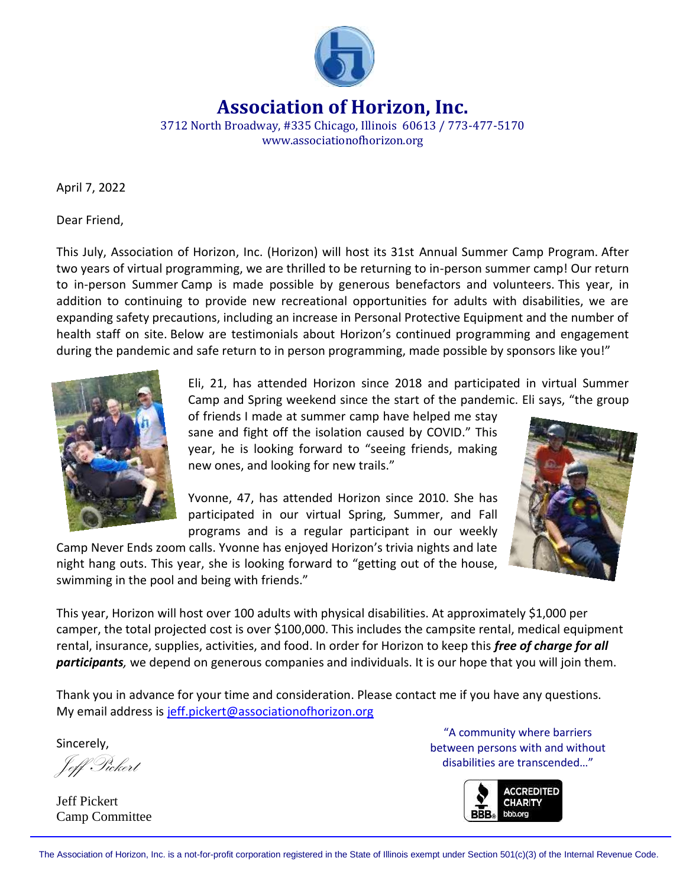

**Association of Horizon, Inc.**

3712 North Broadway, #335 Chicago, Illinois 60613 / 773-477-5170 www.associationofhorizon.org

April 7, 2022

Dear Friend,

This July, Association of Horizon, Inc. (Horizon) will host its 31st Annual Summer Camp Program. After two years of virtual programming, we are thrilled to be returning to in-person summer camp! Our return to in-person Summer Camp is made possible by generous benefactors and volunteers. This year, in addition to continuing to provide new recreational opportunities for adults with disabilities, we are expanding safety precautions, including an increase in Personal Protective Equipment and the number of health staff on site. Below are testimonials about Horizon's continued programming and engagement during the pandemic and safe return to in person programming, made possible by sponsors like you!"



Eli, 21, has attended Horizon since 2018 and participated in virtual Summer Camp and Spring weekend since the start of the pandemic. Eli says, "the group

of friends I made at summer camp have helped me stay sane and fight off the isolation caused by COVID." This year, he is looking forward to "seeing friends, making new ones, and looking for new trails."

Yvonne, 47, has attended Horizon since 2010. She has participated in our virtual Spring, Summer, and Fall programs and is a regular participant in our weekly

Camp Never Ends zoom calls. Yvonne has enjoyed Horizon's trivia nights and late night hang outs. This year, she is looking forward to "getting out of the house, swimming in the pool and being with friends."



This year, Horizon will host over 100 adults with physical disabilities. At approximately \$1,000 per camper, the total projected cost is over \$100,000. This includes the campsite rental, medical equipment rental, insurance, supplies, activities, and food. In order for Horizon to keep this *free of charge for all participants,* we depend on generous companies and individuals. It is our hope that you will join them.

Thank you in advance for your time and consideration. Please contact me if you have any questions. My email address is [jeff.pickert@associationofhorizon.org](mailto:jeff.pickert@associationofhorizon.org)

Sincerely,

Jeff Pickert

Jeff Pickert Camp Committee

"A community where barriers between persons with and without disabilities are transcended…"